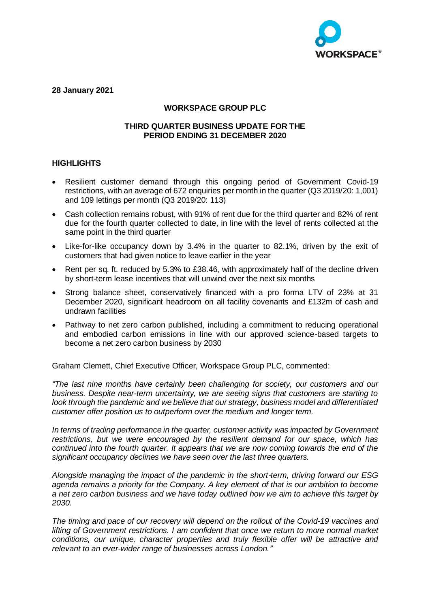

**28 January 2021**

# **WORKSPACE GROUP PLC**

### **THIRD QUARTER BUSINESS UPDATE FOR THE PERIOD ENDING 31 DECEMBER 2020**

# **HIGHLIGHTS**

- Resilient customer demand through this ongoing period of Government Covid-19 restrictions, with an average of 672 enquiries per month in the quarter (Q3 2019/20: 1,001) and 109 lettings per month (Q3 2019/20: 113)
- Cash collection remains robust, with 91% of rent due for the third quarter and 82% of rent due for the fourth quarter collected to date, in line with the level of rents collected at the same point in the third quarter
- Like-for-like occupancy down by 3.4% in the quarter to 82.1%, driven by the exit of customers that had given notice to leave earlier in the year
- Rent per sq. ft. reduced by 5.3% to £38.46, with approximately half of the decline driven by short-term lease incentives that will unwind over the next six months
- Strong balance sheet, conservatively financed with a pro forma LTV of 23% at 31 December 2020, significant headroom on all facility covenants and £132m of cash and undrawn facilities
- Pathway to net zero carbon published, including a commitment to reducing operational and embodied carbon emissions in line with our approved science-based targets to become a net zero carbon business by 2030

Graham Clemett, Chief Executive Officer, Workspace Group PLC, commented:

*"The last nine months have certainly been challenging for society, our customers and our business. Despite near-term uncertainty, we are seeing signs that customers are starting to look through the pandemic and we believe that our strategy, business model and differentiated customer offer position us to outperform over the medium and longer term.* 

*In terms of trading performance in the quarter, customer activity was impacted by Government restrictions, but we were encouraged by the resilient demand for our space, which has continued into the fourth quarter. It appears that we are now coming towards the end of the significant occupancy declines we have seen over the last three quarters.* 

*Alongside managing the impact of the pandemic in the short-term, driving forward our ESG agenda remains a priority for the Company. A key element of that is our ambition to become a net zero carbon business and we have today outlined how we aim to achieve this target by 2030.*

*The timing and pace of our recovery will depend on the rollout of the Covid-19 vaccines and lifting of Government restrictions. I am confident that once we return to more normal market conditions, our unique, character properties and truly flexible offer will be attractive and relevant to an ever-wider range of businesses across London."*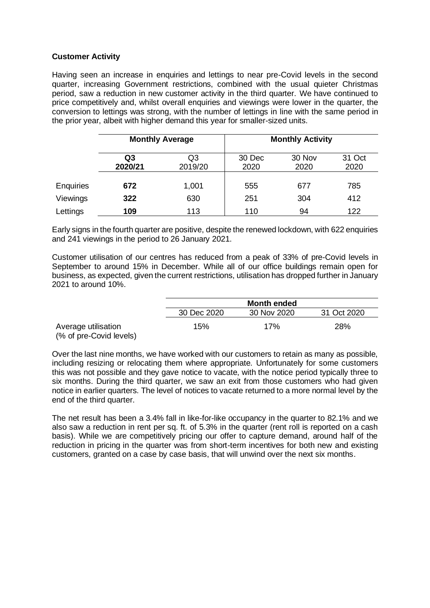# **Customer Activity**

Having seen an increase in enquiries and lettings to near pre-Covid levels in the second quarter, increasing Government restrictions, combined with the usual quieter Christmas period, saw a reduction in new customer activity in the third quarter. We have continued to price competitively and, whilst overall enquiries and viewings were lower in the quarter, the conversion to lettings was strong, with the number of lettings in line with the same period in the prior year, albeit with higher demand this year for smaller-sized units.

|                  | <b>Monthly Average</b> |               | <b>Monthly Activity</b> |                |                |
|------------------|------------------------|---------------|-------------------------|----------------|----------------|
|                  | Q3<br>2020/21          | Q3<br>2019/20 | 30 Dec<br>2020          | 30 Nov<br>2020 | 31 Oct<br>2020 |
| <b>Enquiries</b> | 672                    | 1,001         | 555                     | 677            | 785            |
| Viewings         | 322                    | 630           | 251                     | 304            | 412            |
| Lettings         | 109                    | 113           | 110                     | 94             | 122            |

Early signs in the fourth quarter are positive, despite the renewed lockdown, with 622 enquiries and 241 viewings in the period to 26 January 2021.

Customer utilisation of our centres has reduced from a peak of 33% of pre-Covid levels in September to around 15% in December. While all of our office buildings remain open for business, as expected, given the current restrictions, utilisation has dropped further in January 2021 to around 10%.

|                                                |             | <b>Month ended</b> |             |  |  |  |
|------------------------------------------------|-------------|--------------------|-------------|--|--|--|
|                                                | 30 Dec 2020 | 30 Nov 2020        | 31 Oct 2020 |  |  |  |
| Average utilisation<br>(% of pre-Covid levels) | 15%         | 17%                | 28%         |  |  |  |

Over the last nine months, we have worked with our customers to retain as many as possible, including resizing or relocating them where appropriate. Unfortunately for some customers this was not possible and they gave notice to vacate, with the notice period typically three to six months. During the third quarter, we saw an exit from those customers who had given notice in earlier quarters. The level of notices to vacate returned to a more normal level by the end of the third quarter.

The net result has been a 3.4% fall in like-for-like occupancy in the quarter to 82.1% and we also saw a reduction in rent per sq. ft. of 5.3% in the quarter (rent roll is reported on a cash basis). While we are competitively pricing our offer to capture demand, around half of the reduction in pricing in the quarter was from short-term incentives for both new and existing customers, granted on a case by case basis, that will unwind over the next six months.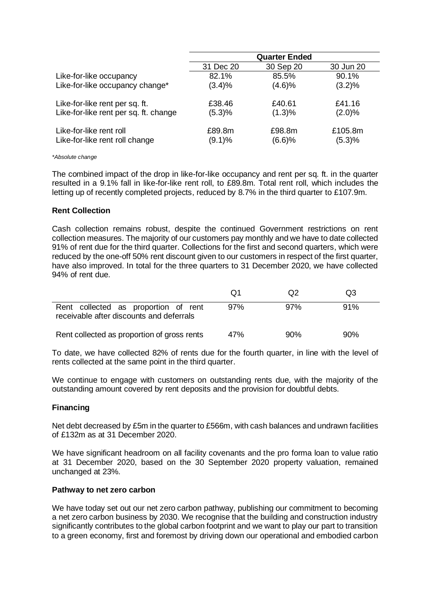| 31 Dec 20<br>30 Sep 20 | 30 Jun 20                                               |
|------------------------|---------------------------------------------------------|
|                        |                                                         |
| 85.5%                  | 90.1%                                                   |
| (4.6)%                 | (3.2)%                                                  |
| £40.61                 | £41.16                                                  |
| (1.3)%                 | $(2.0)\%$                                               |
| £98.8m<br>(6.6)%       | £105.8m<br>(5.3)%                                       |
|                        | 82.1%<br>(3.4)%<br>£38.46<br>(5.3)%<br>£89.8m<br>(9.1)% |

#### *\*Absolute change*

The combined impact of the drop in like-for-like occupancy and rent per sq. ft. in the quarter resulted in a 9.1% fall in like-for-like rent roll, to £89.8m. Total rent roll, which includes the letting up of recently completed projects, reduced by 8.7% in the third quarter to £107.9m.

#### **Rent Collection**

Cash collection remains robust, despite the continued Government restrictions on rent collection measures. The majority of our customers pay monthly and we have to date collected 91% of rent due for the third quarter. Collections for the first and second quarters, which were reduced by the one-off 50% rent discount given to our customers in respect of the first quarter, have also improved. In total for the three quarters to 31 December 2020, we have collected 94% of rent due.

|                                                                                  | O1  | (J2 | Q3  |  |
|----------------------------------------------------------------------------------|-----|-----|-----|--|
| Rent collected as proportion of rent<br>receivable after discounts and deferrals | 97% | 97% | 91% |  |
| Rent collected as proportion of gross rents                                      | 47% | 90% | 90% |  |

To date, we have collected 82% of rents due for the fourth quarter, in line with the level of rents collected at the same point in the third quarter.

We continue to engage with customers on outstanding rents due, with the majority of the outstanding amount covered by rent deposits and the provision for doubtful debts.

### **Financing**

Net debt decreased by £5m in the quarter to £566m, with cash balances and undrawn facilities of £132m as at 31 December 2020.

We have significant headroom on all facility covenants and the pro forma loan to value ratio at 31 December 2020, based on the 30 September 2020 property valuation, remained unchanged at 23%.

#### **Pathway to net zero carbon**

We have today set out our net zero carbon pathway, publishing our commitment to becoming a net zero carbon business by 2030. We recognise that the building and construction industry significantly contributes to the global carbon footprint and we want to play our part to transition to a green economy, first and foremost by driving down our operational and embodied carbon